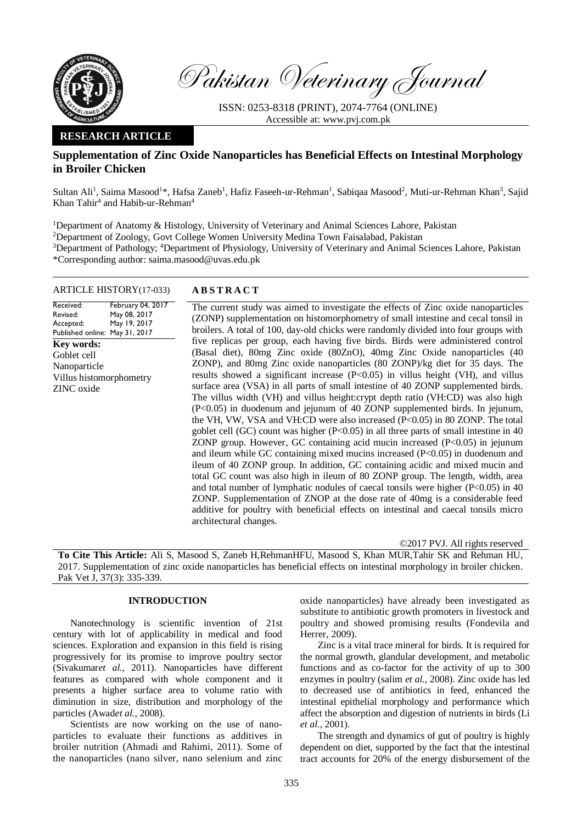

Pakistan Veterinary Journal

ISSN: 0253-8318 (PRINT), 2074-7764 (ONLINE) Accessible at: [www.pvj.com.pk](http://www.pvj.com.pk/)

# **RESEARCH ARTICLE**

# **Supplementation of Zinc Oxide Nanoparticles has Beneficial Effects on Intestinal Morphology in Broiler Chicken**

Sultan Ali<sup>1</sup>, Saima Masood<sup>1\*</sup>, Hafsa Zaneb<sup>1</sup>, Hafiz Faseeh-ur-Rehman<sup>1</sup>, Sabiqaa Masood<sup>2</sup>, Muti-ur-Rehman Khan<sup>3</sup>, Sajid Khan Tahir<sup>4</sup> and Habib-ur-Rehman<sup>4</sup>

<sup>1</sup>Department of Anatomy & Histology, University of Veterinary and Animal Sciences Lahore, Pakistan <sup>2</sup>Department of Zoology, Govt College Women University Medina Town Faisalabad, Pakistan <sup>3</sup>Department of Pathology; <sup>4</sup>Department of Physiology, University of Veterinary and Animal Sciences Lahore, Pakistan \*Corresponding author: saima.masood@uvas.edu.pk

# ARTICLE HISTORY(17-033) **A B S T R A C T**

Received: Revised: Accepted: Published online: May 31, 2017 February 04, 2017 May 08, 2017 May 19, 2017 **Key words:**  Goblet cell Nanoparticle Villus histomorphometry ZINC oxide

The current study was aimed to investigate the effects of Zinc oxide nanoparticles (ZONP) supplementation on histomorphometry of small intestine and cecal tonsil in broilers. A total of 100, day-old chicks were randomly divided into four groups with five replicas per group, each having five birds. Birds were administered control (Basal diet), 80mg Zinc oxide (80ZnO), 40mg Zinc Oxide nanoparticles (40 ZONP), and 80mg Zinc oxide nanoparticles (80 ZONP)/kg diet for 35 days. The results showed a significant increase (P<0.05) in villus height (VH), and villus surface area (VSA) in all parts of small intestine of 40 ZONP supplemented birds. The villus width (VH) and villus height:crypt depth ratio (VH:CD) was also high (P<0.05) in duodenum and jejunum of 40 ZONP supplemented birds. In jejunum, the VH, VW, VSA and VH:CD were also increased (P<0.05) in 80 ZONP. The total goblet cell (GC) count was higher  $(P<0.05)$  in all three parts of small intestine in 40 ZONP group. However, GC containing acid mucin increased (P<0.05) in jejunum and ileum while GC containing mixed mucins increased (P<0.05) in duodenum and ileum of 40 ZONP group. In addition, GC containing acidic and mixed mucin and total GC count was also high in ileum of 80 ZONP group. The length, width, area and total number of lymphatic nodules of caecal tonsils were higher  $(P<0.05)$  in 40 ZONP. Supplementation of ZNOP at the dose rate of 40mg is a considerable feed additive for poultry with beneficial effects on intestinal and caecal tonsils micro architectural changes.

©2017 PVJ. All rights reserved

**To Cite This Article:** Ali S, Masood S, Zaneb H,RehmanHFU, Masood S, Khan MUR,Tahir SK and Rehman HU, 2017. Supplementation of zinc oxide nanoparticles has beneficial effects on intestinal morphology in broiler chicken. Pak Vet J, 37(3): 335-339.

# **INTRODUCTION**

Nanotechnology is scientific invention of 21st century with lot of applicability in medical and food sciences. Exploration and expansion in this field is rising progressively for its promise to improve poultry sector (Sivakumar*et al.,* 2011). Nanoparticles have different features as compared with whole component and it presents a higher surface area to volume ratio with diminution in size, distribution and morphology of the particles (Awad*et al.,* 2008).

Scientists are now working on the use of nanoparticles to evaluate their functions as additives in broiler nutrition (Ahmadi and Rahimi, 2011). Some of the nanoparticles (nano silver, nano selenium and zinc oxide nanoparticles) have already been investigated as substitute to antibiotic growth promoters in livestock and poultry and showed promising results (Fondevila and Herrer, 2009).

Zinc is a vital trace mineral for birds. It is required for the normal growth, glandular development, and metabolic functions and as co-factor for the activity of up to 300 enzymes in poultry (salim *et al.,* 2008). Zinc oxide has led to decreased use of antibiotics in feed, enhanced the intestinal epithelial morphology and performance which affect the absorption and digestion of nutrients in birds (Li *et al.,* 2001).

The strength and dynamics of gut of poultry is highly dependent on diet, supported by the fact that the intestinal tract accounts for 20% of the energy disbursement of the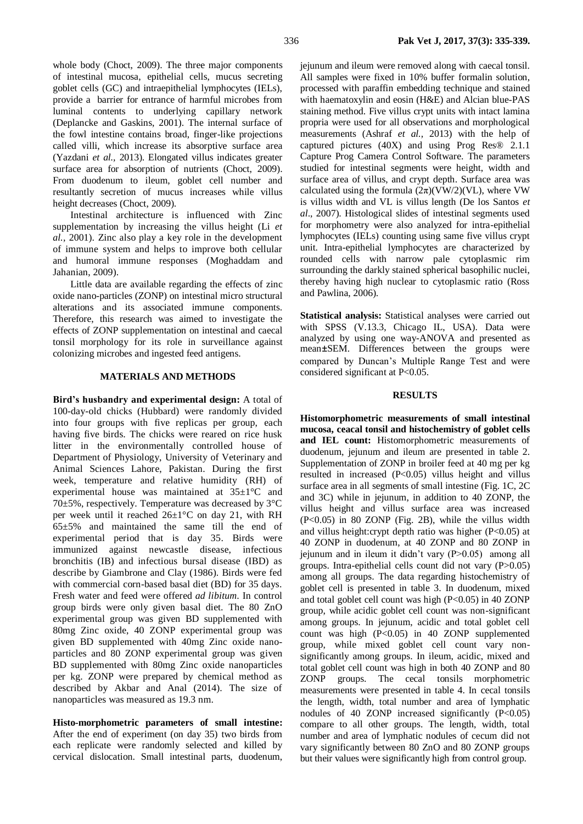whole body (Choct, 2009). The three major components of intestinal mucosa, epithelial cells, mucus secreting goblet cells (GC) and intraepithelial lymphocytes (IELs), provide a barrier for entrance of harmful microbes from luminal contents to underlying capillary network (Deplancke and Gaskins, 2001). The internal surface of the fowl intestine contains broad, finger-like projections called villi, which increase its absorptive surface area (Yazdani *et al.,* 2013). Elongated villus indicates greater surface area for absorption of nutrients (Choct, 2009). From duodenum to ileum, goblet cell number and resultantly secretion of mucus increases while villus height decreases (Choct, 2009).

Intestinal architecture is influenced with Zinc supplementation by increasing the villus height (Li *et al.,* 2001). Zinc also play a key role in the development of immune system and helps to improve both cellular and humoral immune responses (Moghaddam and Jahanian, 2009).

Little data are available regarding the effects of zinc oxide nano-particles (ZONP) on intestinal micro structural alterations and its associated immune components. Therefore, this research was aimed to investigate the effects of ZONP supplementation on intestinal and caecal tonsil morphology for its role in surveillance against colonizing microbes and ingested feed antigens.

## **MATERIALS AND METHODS**

**Bird's husbandry and experimental design:** A total of 100-day-old chicks (Hubbard) were randomly divided into four groups with five replicas per group, each having five birds. The chicks were reared on rice husk litter in the environmentally controlled house of Department of Physiology, University of Veterinary and Animal Sciences Lahore, Pakistan. During the first week, temperature and relative humidity (RH) of experimental house was maintained at 35±1°C and 70±5%, respectively. Temperature was decreased by 3°C per week until it reached 26±1°C on day 21, with RH  $65±5%$  and maintained the same till the end of experimental period that is day 35. Birds were immunized against newcastle disease, infectious bronchitis (IB) and infectious bursal disease (IBD) as describe by Giambrone and Clay (1986). Birds were fed with commercial corn-based basal diet (BD) for 35 days. Fresh water and feed were offered *ad libitum*. In control group birds were only given basal diet. The 80 ZnO experimental group was given BD supplemented with 80mg Zinc oxide, 40 ZONP experimental group was given BD supplemented with 40mg Zinc oxide nanoparticles and 80 ZONP experimental group was given BD supplemented with 80mg Zinc oxide nanoparticles per kg. ZONP were prepared by chemical method as described by Akbar and Anal (2014). The size of nanoparticles was measured as 19.3 nm.

**Histo-morphometric parameters of small intestine:**  After the end of experiment (on day 35) two birds from each replicate were randomly selected and killed by cervical dislocation. Small intestinal parts, duodenum, jejunum and ileum were removed along with caecal tonsil. All samples were fixed in 10% buffer formalin solution, processed with paraffin embedding technique and stained with haematoxylin and eosin (H&E) and Alcian blue-PAS staining method. Five villus crypt units with intact lamina propria were used for all observations and morphological measurements (Ashraf *et al.,* 2013) with the help of captured pictures (40X) and using Prog Res® 2.1.1 Capture Prog Camera Control Software. The parameters studied for intestinal segments were height, width and surface area of villus, and crypt depth. Surface area was calculated using the formula  $(2\pi)(\text{VW}/2)(\text{VL})$ , where VW is villus width and VL is villus length (De los Santos *et al*., 2007). Histological slides of intestinal segments used for morphometry were also analyzed for intra-epithelial lymphocytes (IELs) counting using same five villus crypt unit. Intra-epithelial lymphocytes are characterized by rounded cells with narrow pale cytoplasmic rim surrounding the darkly stained spherical basophilic nuclei, thereby having high nuclear to cytoplasmic ratio (Ross and Pawlina, 2006).

**Statistical analysis:** Statistical analyses were carried out with SPSS (V.13.3, Chicago IL, USA). Data were analyzed by using one way-ANOVA and presented as mean*±*SEM. Differences between the groups were compared by Duncan's Multiple Range Test and were considered significant at P<0.05.

## **RESULTS**

**Histomorphometric measurements of small intestinal mucosa, ceacal tonsil and histochemistry of goblet cells and IEL count:** Histomorphometric measurements of duodenum, jejunum and ileum are presented in table 2. Supplementation of ZONP in broiler feed at 40 mg per kg resulted in increased (P<0.05) villus height and villus surface area in all segments of small intestine (Fig. 1C, 2C and 3C) while in jejunum, in addition to 40 ZONP, the villus height and villus surface area was increased (P<0.05) in 80 ZONP (Fig. 2B), while the villus width and villus height:crypt depth ratio was higher (P<0.05) at 40 ZONP in duodenum, at 40 ZONP and 80 ZONP in jejunum and in ileum it didn't vary  $(P>0.05)$  among all groups. Intra-epithelial cells count did not vary (P>0.05) among all groups. The data regarding histochemistry of goblet cell is presented in table 3. In duodenum, mixed and total goblet cell count was high (P<0.05) in 40 ZONP group, while acidic goblet cell count was non-significant among groups. In jejunum, acidic and total goblet cell count was high  $(P<0.05)$  in 40 ZONP supplemented group, while mixed goblet cell count vary nonsignificantly among groups. In ileum, acidic, mixed and total goblet cell count was high in both 40 ZONP and 80 ZONP groups. The cecal tonsils morphometric measurements were presented in table 4. In cecal tonsils the length, width, total number and area of lymphatic nodules of 40 ZONP increased significantly  $(P<0.05)$ compare to all other groups. The length, width, total number and area of lymphatic nodules of cecum did not vary significantly between 80 ZnO and 80 ZONP groups but their values were significantly high from control group.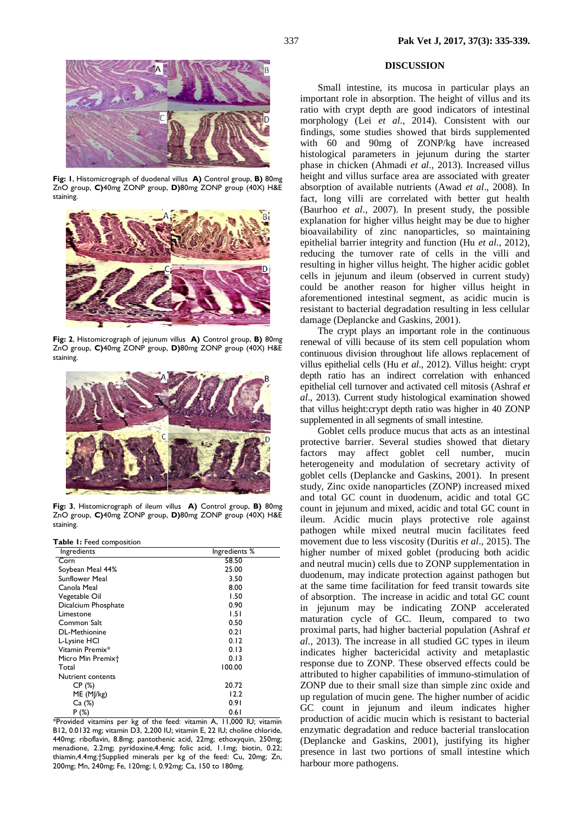

**Fig: 1**, Histomicrograph of duodenal villus **A)** Control group, **B)** 80mg ZnO group, **C)**40mg ZONP group, **D)**80mg ZONP group (40X) H&E staining.



**Fig: 2**, Histomicrograph of jejunum villus **A)** Control group, **B)** 80mg ZnO group, **C)**40mg ZONP group, **D)**80mg ZONP group (40X) H&E staining.



**Fig: 3**, Histomicrograph of ileum villus **A)** Control group, **B)** 80mg ZnO group, **C)**40mg ZONP group, **D)**80mg ZONP group (40X) H&E staining.

**Table 1:** Feed composition

| Ingredients           | Ingredients % |
|-----------------------|---------------|
| Corn                  | 58.50         |
| Soybean Meal 44%      | 25.00         |
| <b>Sunflower Meal</b> | 3.50          |
| Canola Meal           | 8.00          |
| Vegetable Oil         | 1.50          |
| Dicalcium Phosphate   | 0.90          |
| Limestone             | 1.51          |
| Common Salt           | 0.50          |
| <b>DL-Methionine</b>  | 0.21          |
| L-Lysine HCl          | 0.12          |
| Vitamin Premix*       | 0.13          |
| Micro Min Premixt     | 0.13          |
| Total                 | 100.00        |
| Nutrient contents     |               |
| CP(%)                 | 20.72         |
| ME (M]/kg)            | 12.2          |
| Ca (%)                | 0.91          |
| P(%)                  | 0.61          |

\*Provided vitamins per kg of the feed: vitamin A, 11,000 IU; vitamin B12, 0.0132 mg; vitamin D3, 2,200 IU; vitamin E, 22 IU; choline chloride, 440mg; riboflavin, 8.8mg; pantothenic acid, 22mg; ethoxyquin, 250mg; menadione, 2.2mg; pyridoxine,4.4mg; folic acid, 1.1mg; biotin, 0.22; thiamin,4.4mg.†Supplied minerals per kg of the feed: Cu, 20mg; Zn, 200mg; Mn, 240mg; Fe, 120mg; I, 0.92mg; Ca, 150 to 180mg.

#### **DISCUSSION**

Small intestine, its mucosa in particular plays an important role in absorption. The height of villus and its ratio with crypt depth are good indicators of intestinal morphology (Lei *et al*., 2014). Consistent with our findings, some studies showed that birds supplemented with 60 and 90mg of ZONP/kg have increased histological parameters in jejunum during the starter phase in chicken (Ahmadi *et al*., 2013). Increased villus height and villus surface area are associated with greater absorption of available nutrients (Awad *et al*., 2008). In fact, long villi are correlated with better gut health (Baurhoo *et al*., 2007). In present study, the possible explanation for higher villus height may be due to higher bioavailability of zinc nanoparticles, so maintaining epithelial barrier integrity and function (Hu *et al*., 2012), reducing the turnover rate of cells in the villi and resulting in higher villus height. The higher acidic goblet cells in jejunum and ileum (observed in current study) could be another reason for higher villus height in aforementioned intestinal segment, as acidic mucin is resistant to bacterial degradation resulting in less cellular damage (Deplancke and Gaskins, 2001).

The crypt plays an important role in the continuous renewal of villi because of its stem cell population whom continuous division throughout life allows replacement of villus epithelial cells (Hu *et al*., 2012). Villus height: crypt depth ratio has an indirect correlation with enhanced epithelial cell turnover and activated cell mitosis (Ashraf *et al*., 2013). Current study histological examination showed that villus height:crypt depth ratio was higher in 40 ZONP supplemented in all segments of small intestine.

Goblet cells produce mucus that acts as an intestinal protective barrier. Several studies showed that dietary factors may affect goblet cell number, mucin heterogeneity and modulation of secretary activity of goblet cells (Deplancke and Gaskins, 2001). In present study, Zinc oxide nanoparticles (ZONP) increased mixed and total GC count in duodenum, acidic and total GC count in jejunum and mixed, acidic and total GC count in ileum. Acidic mucin plays protective role against pathogen while mixed neutral mucin facilitates feed movement due to less viscosity (Duritis *et al*., 2015). The higher number of mixed goblet (producing both acidic and neutral mucin) cells due to ZONP supplementation in duodenum, may indicate protection against pathogen but at the same time facilitation for feed transit towards site of absorption. The increase in acidic and total GC count in jejunum may be indicating ZONP accelerated maturation cycle of GC. Ileum, compared to two proximal parts, had higher bacterial population (Ashraf *et al*., 2013). The increase in all studied GC types in ileum indicates higher bactericidal activity and metaplastic response due to ZONP. These observed effects could be attributed to higher capabilities of immuno-stimulation of ZONP due to their small size than simple zinc oxide and up regulation of mucin gene. The higher number of acidic GC count in jejunum and ileum indicates higher production of acidic mucin which is resistant to bacterial enzymatic degradation and reduce bacterial translocation (Deplancke and Gaskins, 2001), justifying its higher presence in last two portions of small intestine which harbour more pathogens.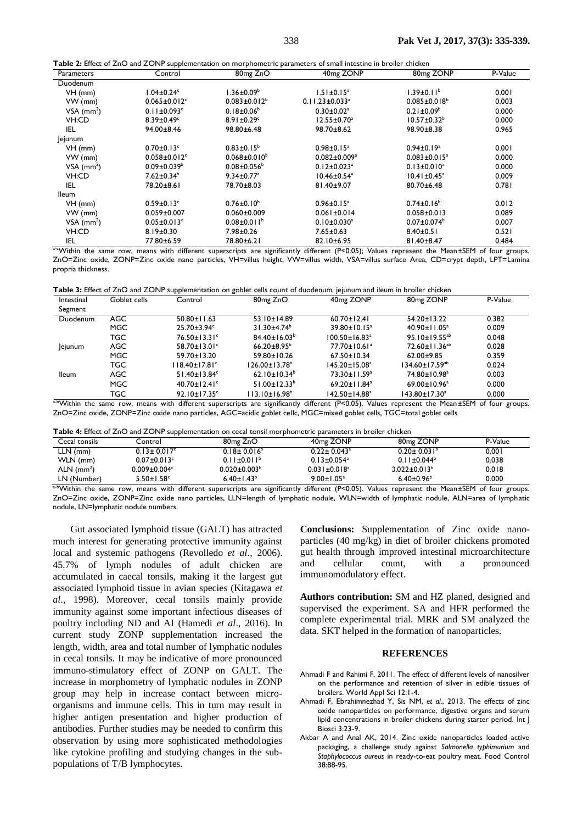| Table 2: Effect of ZnO and ZONP supplementation on morphometric parameters of small intestine in broiler chicken |  |  |
|------------------------------------------------------------------------------------------------------------------|--|--|
|------------------------------------------------------------------------------------------------------------------|--|--|

| <b>Parameters</b>        | Control                        | 80 <sub>mg</sub> ZnO         | 40 <sub>mg</sub> ZONP            | 80 <sub>mg</sub> ZONP          | P-Value |
|--------------------------|--------------------------------|------------------------------|----------------------------------|--------------------------------|---------|
| Duodenum                 |                                |                              |                                  |                                |         |
| $VH$ (mm)                | $1.04\pm0.24^{\circ}$          | $1.36 \pm 0.09^{\circ}$      | $1.51 \pm 0.15^a$                | $1.39 \pm 0.11^b$              | 0.001   |
| VW (mm)                  | $0.065 \pm 0.012$ <sup>c</sup> | $0.083 \pm 0.012^b$          | $0.11.23 \pm 0.033$ <sup>a</sup> | $0.085 \pm 0.018^b$            | 0.003   |
| $VSA$ (mm <sup>2</sup> ) | $0.11 \pm 0.093$ <sup>c</sup>  | $0.18 \pm 0.06^{\circ}$      | $0.30 \pm 0.02$ <sup>a</sup>     | $0.21 \pm 0.09^b$              | 0.000   |
| VH:CD                    | $8.39 \pm 0.49$ <sup>c</sup>   | $8.91 \pm 0.29$ <sup>c</sup> | $12.55 \pm 0.70^a$               | $10.57 \pm 0.32^b$             | 0.000   |
| IEL                      | 94.00±8.46                     | 98.80±6.48                   | 98.70±8.62                       | 98.90±8.38                     | 0.965   |
| lejunum                  |                                |                              |                                  |                                |         |
| $VH$ (mm)                | $0.70 \pm 0.13$ <sup>c</sup>   | $0.83 \pm 0.15^b$            | $0.98 \pm 0.15^a$                | $0.94 \pm 0.19$ <sup>a</sup>   | 0.001   |
| VW (mm)                  | $0.058 + 0.012$ <sup>c</sup>   | $0.068 \pm 0.010^b$          | $0.082 \pm 0.009^a$              | $0.083 \pm 0.015$ <sup>a</sup> | 0.000   |
| $VSA$ (mm <sup>2</sup> ) | $0.09 \pm 0.039^{\circ}$       | $0.08 \pm 0.056^{\circ}$     | $0.12 \pm 0.023$ <sup>a</sup>    | $0.13 \pm 0.010^a$             | 0.000   |
| VH:CD                    | $7.62 \pm 0.34^b$              | $9.34 \pm 0.77$ <sup>a</sup> | $10.46 \pm 0.54^a$               | $10.41 \pm 0.45^{\circ}$       | 0.009   |
| IEL                      | 78.20±8.61                     | 78.70±8.03                   | 81.40±9.07                       | $80.70 \pm 6.48$               | 0.781   |
| <b>Ileum</b>             |                                |                              |                                  |                                |         |
| $VH$ (mm)                | $0.59 \pm 0.13$ <sup>c</sup>   | $0.76 \pm 0.10^b$            | $0.96 \pm 0.15^a$                | $0.74 \pm 0.16^b$              | 0.012   |
| VW (mm)                  | $0.059 + 0.007$                | $0.060 + 0.009$              | $0.061 \pm 0.014$                | $0.058 + 0.013$                | 0.089   |
| VSA $(mm2)$              | $0.05 \pm 0.013$ <sup>c</sup>  | $0.08 \pm 0.011^b$           | $0.10 \pm 0.030$ <sup>a</sup>    | $0.07 \pm 0.074^{\circ}$       | 0.007   |
| VH:CD                    | $8.19 \pm 0.30$                | 7.98±0.26                    | $7.65 \pm 0.63$                  | $8.40 \pm 0.51$                | 0.521   |
| IEL                      | 77.80±6.59                     | 78.80±6.21                   | 82.10±6.95                       | 81.40±8.47                     | 0.484   |

a-cWithin the same row, means with different superscripts are significantly different (P<0.05); Values represent the Mean±SEM of four groups. ZnO=Zinc oxide, ZONP=Zinc oxide nano particles, VH=villus height, VW=villus width, VSA=villus surface Area, CD=crypt depth, LPT=Lamina propria thickness.

**Table 3:** Effect of ZnO and ZONP supplementation on goblet cells count of duodenum, jejunum and ileum in broiler chicken

| Intestinal<br>Segment | Goblet cells | Control                         | 80 <sub>mg</sub> Z <sub>n</sub> O | 40 <sub>mg</sub> ZONP           | 80 <sub>mg</sub> ZONP           | P-Value |
|-----------------------|--------------|---------------------------------|-----------------------------------|---------------------------------|---------------------------------|---------|
| Duodenum              | <b>AGC</b>   | $50.80 \pm 11.63$               | $53.10 \pm 14.89$                 | $60.70 \pm 12.41$               | $54.20 \pm 13.22$               | 0.382   |
|                       | MGC          | $25.70 \pm 3.94$ °              | $31.30 + 4.74^b$                  | $39.80 \pm 10.15^a$             | 40.90±11.05 <sup>a</sup>        | 0.009   |
|                       | <b>TGC</b>   | $76.50 \pm 13.31^{\circ}$       | $84.40 \pm 16.03^b$               | $100.50 \pm 16.83$ <sup>a</sup> | 95.10±19.55 <sup>ab</sup>       | 0.048   |
| Jejunum               | AGC.         | $58.70 \pm 13.01^{\circ}$       | $66.20 \pm 8.95^{\circ}$          | $77.70 \pm 10.61$ <sup>a</sup>  | 72.60 $\pm$ 11.36 <sup>ab</sup> | 0.028   |
|                       | MGC          | $59.70 \pm 13.20$               | $59.80 \pm 10.26$                 | $67.50 \pm 10.34$               | $62.00+9.85$                    | 0.359   |
|                       | <b>TGC</b>   | $118.40 \pm 17.81$ <sup>c</sup> | $126.00 \pm 13.78^{\circ}$        | 145.20±15.08ª                   | $134.60 \pm 17.59^{ab}$         | 0.024   |
| <b>Ileum</b>          | <b>AGC</b>   | $51.40 \pm 13.84$ °             | 62.10±10.34 <sup>b</sup>          | $73.30 \pm 11.59^a$             | 74.80±10.98 <sup>a</sup>        | 0.003   |
|                       | <b>MGC</b>   | $40.70 \pm 12.41$ <sup>c</sup>  | $51.00 \pm 12.33^b$               | 69.20 ± $11.84^a$               | $69.00 \pm 10.96^a$             | 0.000   |
|                       | TGC          | $92.10 \pm 17.35$ <sup>c</sup>  | $113.10\pm16.98^{\circ}$          | 142.50±14.88ª                   | $143.80 \pm 17.30^a$            | 0.000   |

a-bWithin the same row, means with different superscripts are significantly different (P<0.05). Values represent the Mean*±*SEM of four groups. ZnO=Zinc oxide, ZONP=Zinc oxide nano particles, AGC=acidic goblet cellc, MGC=mixed goblet cells, TGC=total goblet cells

**Table 4:** Effect of ZnO and ZONP supplementation on cecal tonsil morphometric parameters in broiler chicken

| <b>Explorer of the and the city supplementation</b> on eccar tonominor priormetric parameters in proner emercin |                                   |                                |                               |         |  |  |
|-----------------------------------------------------------------------------------------------------------------|-----------------------------------|--------------------------------|-------------------------------|---------|--|--|
| Control                                                                                                         | 80 <sub>mg</sub> Z <sub>n</sub> O | 40 <sub>mg</sub> ZONP          | 80 <sub>mg</sub> ZONP         | P-Value |  |  |
| $0.13 \pm 0.017$ <sup>c</sup>                                                                                   | $0.18 \pm 0.016^{\circ}$          | $0.22 \pm 0.043$ <sup>a</sup>  | $0.20 \pm 0.031$ <sup>a</sup> | 0.001   |  |  |
| $0.07 \pm 0.013$ <sup>c</sup>                                                                                   | $0.11 \pm 0.011^b$                | $0.13 \pm 0.054$ <sup>a</sup>  | $0.11 \pm 0.044^b$            | 0.038   |  |  |
| $0.009 \pm 0.004$ <sup>c</sup>                                                                                  | $0.020 \pm 0.003^b$               | $0.031 \pm 0.018$ <sup>a</sup> | $0.022 \pm 0.013^b$           | 0.018   |  |  |
| $5.50 \pm 1.58$ <sup>c</sup>                                                                                    | $6.40 \pm 1.43^b$                 | $9.00 \pm 1.05^a$              | $6.40 \pm 0.96^{\circ}$       | 0.000   |  |  |
|                                                                                                                 |                                   |                                |                               |         |  |  |

a-bWithin the same row, means with different superscripts are significantly different (P<0.05). Values represent the Mean*±*SEM of four groups. ZnO=Zinc oxide, ZONP=Zinc oxide nano particles, LLN=length of lymphatic nodule, WLN=width of lymphatic nodule, ALN=area of lymph atic nodule, LN=lymphatic nodule numbers.

Gut associated lymphoid tissue (GALT) has attracted much interest for generating protective immunity against local and systemic pathogens (Revolledo *et al*., 2006). 45.7% of lymph nodules of adult chicken are accumulated in caecal tonsils, making it the largest gut associated lymphoid tissue in avian species (Kitagawa *et al*., 1998). Moreover, cecal tonsils mainly provide immunity against some important infectious diseases of poultry including ND and AI (Hamedi *et al*., 2016). In current study ZONP supplementation increased the length, width, area and total number of lymphatic nodules in cecal tonsils. It may be indicative of more pronounced immuno-stimulatory effect of ZONP on GALT. The increase in morphometry of lymphatic nodules in ZONP group may help in increase contact between microorganisms and immune cells. This in turn may result in higher antigen presentation and higher production of antibodies. Further studies may be needed to confirm this observation by using more sophisticated methodologies like cytokine profiling and studying changes in the subpopulations of T/B lymphocytes.

**Conclusions:** Supplementation of Zinc oxide nanoparticles (40 mg/kg) in diet of broiler chickens promoted gut health through improved intestinal microarchitecture and cellular count, with a pronounced immunomodulatory effect.

**Authors contribution:** SM and HZ planed, designed and supervised the experiment. SA and HFR performed the complete experimental trial. MRK and SM analyzed the data. SKT helped in the formation of nanoparticles.

#### **REFERENCES**

- Ahmadi F and Rahimi F, 2011. The effect of different levels of nanosilver on the performance and retention of silver in edible tissues of broilers. World Appl Sci 12:1-4.
- Ahmadi F, Ebrahimnezhad Y, Sis NM, *et al*., 2013. The effects of zinc oxide nanoparticles on performance, digestive organs and serum lipid concentrations in broiler chickens during starter period. Int J Biosci 3:23-9.
- Akbar A and Anal AK, 2014. Zinc oxide nanoparticles loaded active packaging, a challenge study against *Salmonella typhimurium* and *Staphylococcus aureus* in ready-to-eat poultry meat. Food Control 38:88-95.